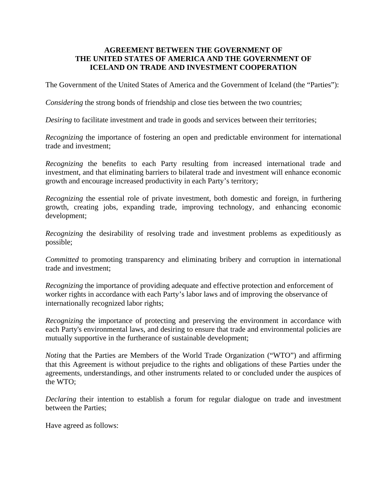### **AGREEMENT BETWEEN THE GOVERNMENT OF THE UNITED STATES OF AMERICA AND THE GOVERNMENT OF ICELAND ON TRADE AND INVESTMENT COOPERATION**

The Government of the United States of America and the Government of Iceland (the "Parties"):

*Considering* the strong bonds of friendship and close ties between the two countries;

*Desiring* to facilitate investment and trade in goods and services between their territories;

*Recognizing* the importance of fostering an open and predictable environment for international trade and investment;

*Recognizing* the benefits to each Party resulting from increased international trade and investment, and that eliminating barriers to bilateral trade and investment will enhance economic growth and encourage increased productivity in each Party's territory;

*Recognizing* the essential role of private investment, both domestic and foreign, in furthering growth, creating jobs, expanding trade, improving technology, and enhancing economic development;

*Recognizing* the desirability of resolving trade and investment problems as expeditiously as possible;

*Committed* to promoting transparency and eliminating bribery and corruption in international trade and investment;

*Recognizing* the importance of providing adequate and effective protection and enforcement of worker rights in accordance with each Party's labor laws and of improving the observance of internationally recognized labor rights;

*Recognizing* the importance of protecting and preserving the environment in accordance with each Party's environmental laws, and desiring to ensure that trade and environmental policies are mutually supportive in the furtherance of sustainable development;

*Noting* that the Parties are Members of the World Trade Organization ("WTO") and affirming that this Agreement is without prejudice to the rights and obligations of these Parties under the agreements, understandings, and other instruments related to or concluded under the auspices of the WTO;

*Declaring* their intention to establish a forum for regular dialogue on trade and investment between the Parties;

Have agreed as follows: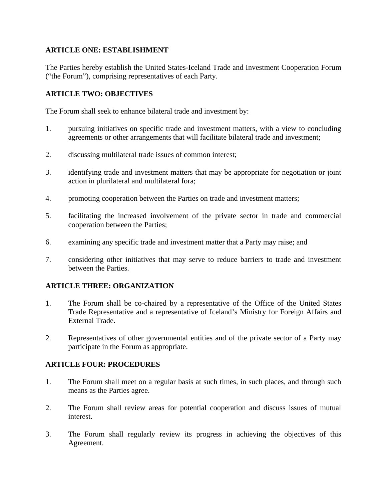## **ARTICLE ONE: ESTABLISHMENT**

The Parties hereby establish the United States-Iceland Trade and Investment Cooperation Forum ("the Forum"), comprising representatives of each Party.

# **ARTICLE TWO: OBJECTIVES**

The Forum shall seek to enhance bilateral trade and investment by:

- 1. pursuing initiatives on specific trade and investment matters, with a view to concluding agreements or other arrangements that will facilitate bilateral trade and investment;
- 2. discussing multilateral trade issues of common interest;
- 3. identifying trade and investment matters that may be appropriate for negotiation or joint action in plurilateral and multilateral fora;
- 4. promoting cooperation between the Parties on trade and investment matters;
- 5. facilitating the increased involvement of the private sector in trade and commercial cooperation between the Parties;
- 6. examining any specific trade and investment matter that a Party may raise; and
- 7. considering other initiatives that may serve to reduce barriers to trade and investment between the Parties.

## **ARTICLE THREE: ORGANIZATION**

- 1. The Forum shall be co-chaired by a representative of the Office of the United States Trade Representative and a representative of Iceland's Ministry for Foreign Affairs and External Trade.
- 2. Representatives of other governmental entities and of the private sector of a Party may participate in the Forum as appropriate.

## **ARTICLE FOUR: PROCEDURES**

- 1. The Forum shall meet on a regular basis at such times, in such places, and through such means as the Parties agree.
- 2. The Forum shall review areas for potential cooperation and discuss issues of mutual interest.
- 3. The Forum shall regularly review its progress in achieving the objectives of this Agreement.